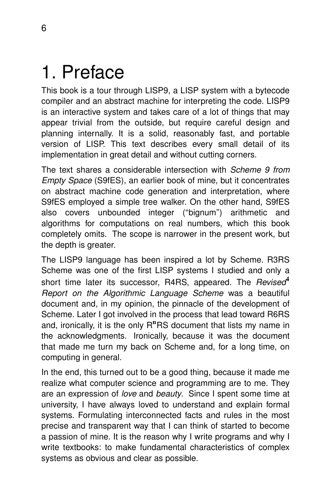## 1. Preface

This book is a tour through LISP9, a LISP system with a bytecode compiler and an abstract machine for interpreting the code. LISP9 is an interactive system and takes care of a lot of things that may appear trivial from the outside, but require careful design and planning internally. It is a solid, reasonably fast, and portable version of LISP. This text describes every small detail of its implementation in great detail and without cutting corners.

The text shares a considerable intersection with *Scheme 9 from* Empty Space (S9fES), an earlier book of mine, but it concentrates on abstract machine code generation and interpretation, where S9fES employed a simple tree walker. On the other hand, S9fES also covers unbounded integer (''bignum'') arithmetic and algorithms for computations on real numbers, which this book completely omits. The scope is narrower in the present work, but the depth is greater.

The LISP9 language has been inspired a lot by Scheme. R3RS Scheme was one of the first LISP systems I studied and only a short time later its successor, R4RS, appeared. The Revised<sup>4</sup> Report on the Algorithmic Language Scheme was a beautiful document and, in my opinion, the pinnacle of the development of Scheme. Later I got involved in the process that lead toward R6RS and, ironically, it is the only R<sup>n</sup>RS document that lists my name in the acknowledgments. Ironically, because it was the document that made me turn my back on Scheme and, for a long time, on computing in general.

In the end, this turned out to be a good thing, because it made me realize what computer science and programming are to me. They are an expression of love and beauty. Since I spent some time at university, I have always loved to understand and explain formal systems. Formulating interconnected facts and rules in the most precise and transparent way that I can think of started to become a passion of mine. It is the reason why I write programs and why I write textbooks: to make fundamental characteristics of complex systems as obvious and clear as possible.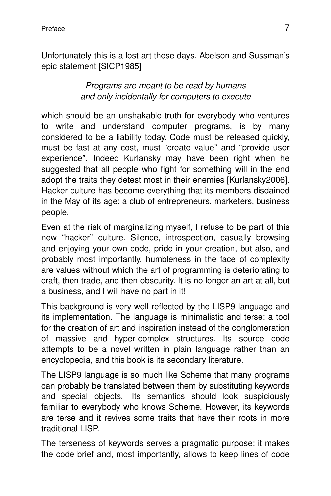Unfortunately this is a lost art these days. Abelson and Sussman's epic statement [SICP1985]

## Programs are meant to be read by humans and only incidentally for computers to execute

which should be an unshakable truth for everybody who ventures to write and understand computer programs, is by many considered to be a liability today. Code must be released quickly, must be fast at any cost, must ''create value'' and ''provide user experience". Indeed Kurlansky may have been right when he suggested that all people who fight for something will in the end adopt the traits they detest most in their enemies [Kurlansky2006]. Hacker culture has become everything that its members disdained in the May of its age: a club of entrepreneurs, marketers, business people.

Even at the risk of marginalizing myself, I refuse to be part of this new "hacker" culture. Silence, introspection, casually browsing and enjoying your own code, pride in your creation, but also, and probably most importantly, humbleness in the face of complexity are values without which the art of programming is deteriorating to craft, then trade, and then obscurity. It is no longer an art at all, but a business, and I will have no part in it!

This background is very well reflected by the LISP9 language and its implementation. The language is minimalistic and terse: a tool for the creation of art and inspiration instead of the conglomeration of massive and hyper-complex structures. Its source code attempts to be a novel written in plain language rather than an encyclopedia, and this book is its secondary literature.

The LISP9 language is so much like Scheme that many programs can probably be translated between them by substituting keywords and special objects. Its semantics should look suspiciously familiar to everybody who knows Scheme. However, its keywords are terse and it revives some traits that have their roots in more traditional LISP.

The terseness of keywords serves a pragmatic purpose: it makes the code brief and, most importantly, allows to keep lines of code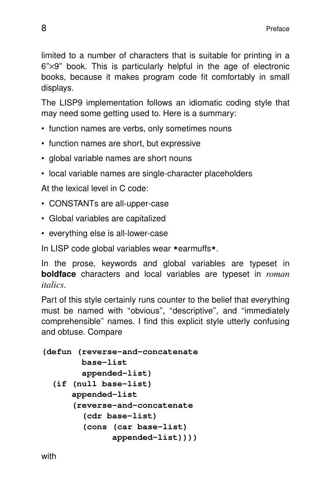limited to a number of characters that is suitable for printing in a  $6" \times 9"$  book. This is particularly helpful in the age of electronic books, because it makes program code fit comfortably in small displays.

The LISP9 implementation follows an idiomatic coding style that may need some getting used to. Here is a summary:

- function names are verbs, only sometimes nouns
- function names are short, but expressive
- global variable names are short nouns
- local variable names are single-character placeholders

At the lexical level in C code:

- CONSTANTs are all-upper-case
- Global variables are capitalized
- everything else is all-lower-case

In LISP code global variables wear **\***earmuffs**\***.

In the prose, keywords and global variables are typeset in **boldface** characters and local variables are typeset in *roman italics*.

Part of this style certainly runs counter to the belief that everything must be named with "obvious", "descriptive", and "immediately comprehensible'' names.Ifind this explicit style utterly confusing and obtuse. Compare

```
(defun (reverse-and-concatenate
     base-list
      appended-list)
(if (null base-list)
   appended-list
    (reverse-and-concatenate
      (cdr base-list)
      (cons (car base-list)
            appended-list))))
```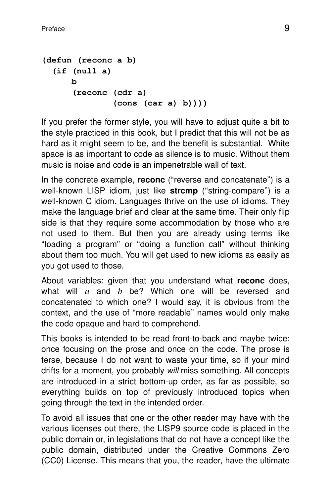```
(defun (reconc a b)
(if (null a)
   b
    (reconc (cdr a)
             (cons (car a) b))))
```
If you prefer the former style, you will have to adjust quite a bit to the style practiced in this book, but I predict that this will not be as hard as it might seem to be, and the benefit is substantial. White space is as important to code as silence is to music. Without them music is noise and code is an impenetrable wall of text.

In the concrete example, **reconc** ("reverse and concatenate") is a well-known LISP idiom, just like strcmp ("string-compare") is a well-known C idiom. Languages thrive on the use of idioms. They make the language brief and clear at the same time. Their only flip side is that they require some accommodation by those who are not used to them. But then you are already using terms like ''loading a program'' or ''doing a function call'' without thinking about them too much. You will get used to new idioms as easily as you got used to those.

About variables: given that you understand what **reconc** does, what will *a* and *b* be? Which one will be reversed and concatenated to which one? I would say, it is obvious from the context, and the use of ''more readable'' names would only make the code opaque and hard to comprehend.

This books is intended to be read front-to-back and maybe twice: once focusing on the prose and once on the code. The prose is terse, because I do not want to waste your time, so if your mind drifts for a moment, you probably will miss something. All concepts are introduced in a strict bottom-up order, as far as possible, so everything builds on top of previously introduced topics when going through the text in the intended order.

To avoid all issues that one or the other reader may have with the various licenses out there, the LISP9 source code is placed in the public domain or, in legislations that do not have a concept like the public domain, distributed under the Creative Commons Zero (CC0) License. This means that you, the reader, have the ultimate